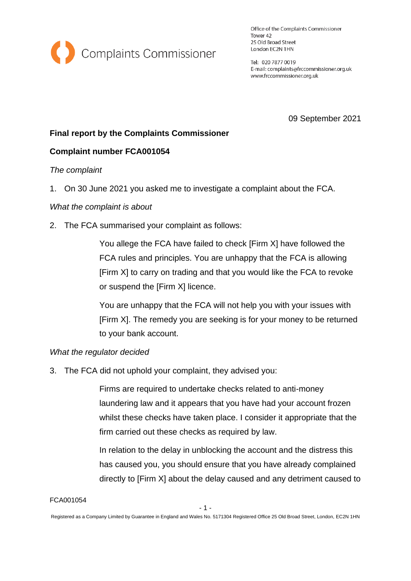

Office of the Complaints Commissioner Tower 42 25 Old Broad Street London EC2N 1HN

Tel: 020 7877 0019 E-mail: complaints@frccommissioner.org.uk www.frccommissioner.org.uk

09 September 2021

# **Final report by the Complaints Commissioner**

## **Complaint number FCA001054**

### *The complaint*

1. On 30 June 2021 you asked me to investigate a complaint about the FCA.

### *What the complaint is about*

2. The FCA summarised your complaint as follows:

You allege the FCA have failed to check [Firm X] have followed the FCA rules and principles. You are unhappy that the FCA is allowing [Firm X] to carry on trading and that you would like the FCA to revoke or suspend the [Firm X] licence.

You are unhappy that the FCA will not help you with your issues with [Firm X]. The remedy you are seeking is for your money to be returned to your bank account.

### *What the regulator decided*

3. The FCA did not uphold your complaint, they advised you:

Firms are required to undertake checks related to anti-money laundering law and it appears that you have had your account frozen whilst these checks have taken place. I consider it appropriate that the firm carried out these checks as required by law.

In relation to the delay in unblocking the account and the distress this has caused you, you should ensure that you have already complained directly to [Firm X] about the delay caused and any detriment caused to

FCA001054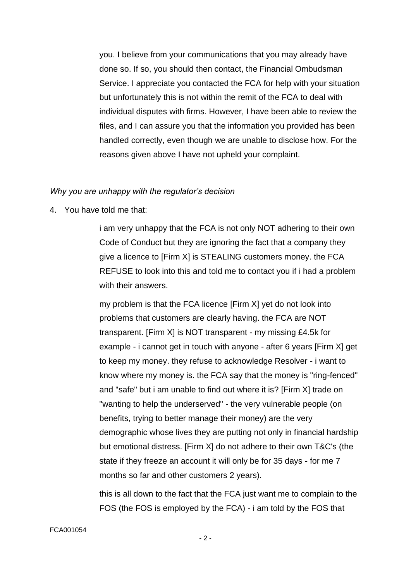you. I believe from your communications that you may already have done so. If so, you should then contact, the Financial Ombudsman Service. I appreciate you contacted the FCA for help with your situation but unfortunately this is not within the remit of the FCA to deal with individual disputes with firms. However, I have been able to review the files, and I can assure you that the information you provided has been handled correctly, even though we are unable to disclose how. For the reasons given above I have not upheld your complaint.

#### *Why you are unhappy with the regulator's decision*

4. You have told me that:

i am very unhappy that the FCA is not only NOT adhering to their own Code of Conduct but they are ignoring the fact that a company they give a licence to [Firm X] is STEALING customers money. the FCA REFUSE to look into this and told me to contact you if i had a problem with their answers.

my problem is that the FCA licence [Firm X] yet do not look into problems that customers are clearly having. the FCA are NOT transparent. [Firm X] is NOT transparent - my missing £4.5k for example - i cannot get in touch with anyone - after 6 years [Firm X] get to keep my money. they refuse to acknowledge Resolver - i want to know where my money is. the FCA say that the money is "ring-fenced" and "safe" but i am unable to find out where it is? [Firm X] trade on "wanting to help the underserved" - the very vulnerable people (on benefits, trying to better manage their money) are the very demographic whose lives they are putting not only in financial hardship but emotional distress. [Firm X] do not adhere to their own T&C's (the state if they freeze an account it will only be for 35 days - for me 7 months so far and other customers 2 years).

this is all down to the fact that the FCA just want me to complain to the FOS (the FOS is employed by the FCA) - i am told by the FOS that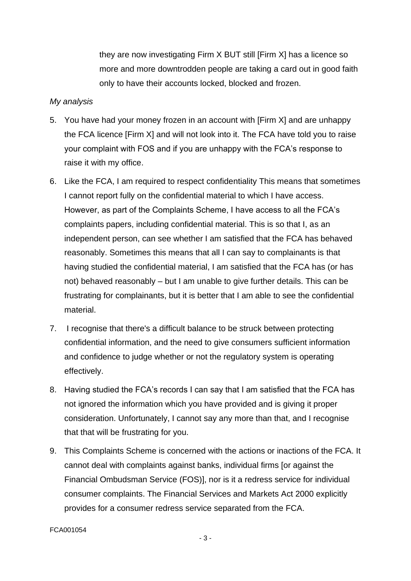they are now investigating Firm X BUT still [Firm X] has a licence so more and more downtrodden people are taking a card out in good faith only to have their accounts locked, blocked and frozen.

#### *My analysis*

- 5. You have had your money frozen in an account with [Firm X] and are unhappy the FCA licence [Firm X] and will not look into it. The FCA have told you to raise your complaint with FOS and if you are unhappy with the FCA's response to raise it with my office.
- 6. Like the FCA, I am required to respect confidentiality This means that sometimes I cannot report fully on the confidential material to which I have access. However, as part of the Complaints Scheme, I have access to all the FCA's complaints papers, including confidential material. This is so that I, as an independent person, can see whether I am satisfied that the FCA has behaved reasonably. Sometimes this means that all I can say to complainants is that having studied the confidential material, I am satisfied that the FCA has (or has not) behaved reasonably – but I am unable to give further details. This can be frustrating for complainants, but it is better that I am able to see the confidential material.
- 7. I recognise that there's a difficult balance to be struck between protecting confidential information, and the need to give consumers sufficient information and confidence to judge whether or not the regulatory system is operating effectively.
- 8. Having studied the FCA's records I can say that I am satisfied that the FCA has not ignored the information which you have provided and is giving it proper consideration. Unfortunately, I cannot say any more than that, and I recognise that that will be frustrating for you.
- 9. This Complaints Scheme is concerned with the actions or inactions of the FCA. It cannot deal with complaints against banks, individual firms [or against the Financial Ombudsman Service (FOS)], nor is it a redress service for individual consumer complaints. The Financial Services and Markets Act 2000 explicitly provides for a consumer redress service separated from the FCA.